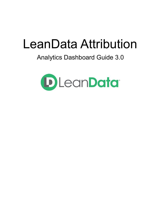# LeanData Attribution

# Analytics Dashboard Guide 3.0

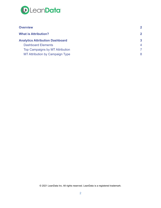

| <b>Overview</b>                        | $\mathbf{2}$ |  |
|----------------------------------------|--------------|--|
| <b>What is Attribution?</b>            | $\mathbf{2}$ |  |
| <b>Analytics Attribution Dashboard</b> | 3            |  |
| <b>Dashboard Elements</b>              | 4            |  |
| Top Campaigns by MT Attribution        |              |  |
| <b>MT Attribution by Campaign Type</b> | 8            |  |

© 2021 LeanData Inc. All rights reserved. LeanData is a registered trademark.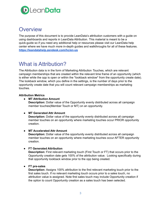

## <span id="page-2-0"></span>**Overview**

The purpose of this document is to provide LeanData's attribution customers with a guide on using dashboards and reports in LeanData Attribution. This material is meant to be a quick-guide so if you need any additional help or resources please visit our LeanData help center where we have much more in-depth guides and walkthroughs for all of these features. **<https://leandatahelp.zendesk.com/hc/en-us>**

# <span id="page-2-1"></span>What is Attribution?

The Attribution data is in the form of Marketing Attribution Touches, which are relevant campaign memberships that are created within the relevant time frame of an opportunity (which is either while the opp is open or within the \*lookback window\* from the opportunity create date). The lookback window, which you define in the settings, is the number of days prior to the opportunity create date that you will count relevant campaign memberships as marketing touches.

#### **Attribution Metrics**

● **MT Attribution Amount**

**Description:** Dollar value of the Opportunity evenly distributed across all campaign member touches(Member Touch or MT) on an opportunity.

#### ● **MT Generated Attr Amount**

**Description:** Dollar value of the opportunity evenly distributed across all campaign member touches on an opportunity where marketing touches occur PRIOR opportunity creation.

#### **● MT Accelerated Attr Amount**

**Description:** Dollar value of the opportunity evenly distributed across all campaign member touches on an opportunity where marketing touches occur AFTER opportunity creation.

#### ● **FT Generated Attribution**

**Description:** First relevant marketing touch (First Touch or FT) that occurs prior to the Opportunity creation date gets 100% of the attribution value. Looking specifically during that opportunity lookback window prior to the opp being created.

#### **● FT pre-sales**

**Description:** Assigns 100% attribution to the first relevant marketing touch prior to the first sales touch. If no relevant marketing touch occurs prior to a sales touch, no attribution value is assigned. Note first sales touch may include Opportunity creation if the option to count Opportunity creation as a sales touch has been selected.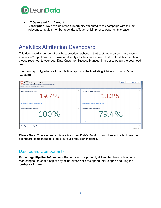

#### ● **LT Generated Attr Amount**

**Description:** Dollar value of the Opportunity attributed to the campaign with the last relevant campaign member touch(Last Touch or LT) prior to opportunity creation.

## <span id="page-3-0"></span>Analytics Attribution Dashboard

This dashboard is our out-of-box best practice dashboard that customers on our more recent attribution 3.0 platform can download directly into their salesforce. To download this dashboard, please reach out to your LeanData Customer Success Manager in order to obtain the download link.

The main report type to use for attribution reports is the Marketing Attribution Touch Report (Custom).



**Please Note:** These screenshots are from LeanData's Sandbox and does not reflect how the dashboard component data looks in your production instance.

### <span id="page-3-1"></span>Dashboard Components

**Percentage Pipeline Influenced** - Percentage of opportunity dollars that have at least one marketing touch on the opp at any point (either while the opportunity is open or during the lookback window).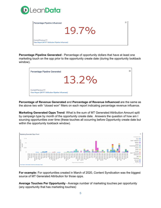

| Percentage Pipeline Influenced                                                           | $\frac{58}{12}$ |
|------------------------------------------------------------------------------------------|-----------------|
| 19.7%                                                                                    |                 |
| <b>Current/Previous FY</b><br><b>View Report (MT/FT Attribution Pipeline Influenced)</b> |                 |

**Percentage Pipeline Generated** - Percentage of opportunity dollars that have at least one marketing touch on the opp prior to the opportunity create date (during the opportunity lookback window).



**Percentage of Revenue Generated** and **Percentage of Revenue Influenced** are the same as the above two with "closed won" filters on each report indicating percentage revenue influence.

**Marketing Generated Opps Trend**: What is the sum of MT Generated Attribution Amount split by campaign type by month of the opportunity create date. Answers the question of how am I sourcing opportunities over time (these touches all occurring before Opportunity create date but within the opportunity lookback window).



**For example:** For opportunities created in March of 2020, Content Syndication was the biggest source of MT Generated Attribution for those opps.

**Average Touches Per Opportunity** - Average number of marketing touches per opportunity (any opportunity that has marketing touches)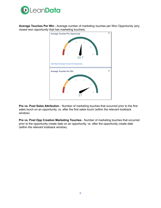

**Average Touches Per Win** - Average number of marketing touches per Won Opportunity (any closed won opportunity that has marketing touches)



**Pre vs. Post Sales Attribution** - Number of marketing touches that occurred prior to the first sales touch on an opportunity, vs. after the first sales touch (within the relevant lookback window)

**Pre vs. Post Opp Creation Marketing Touches** - Number of marketing touches that occurred prior to the opportunity create date on an opportunity, vs. after the opportunity create date (within the relevant lookback window).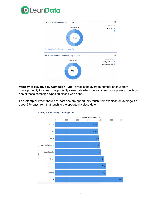



**Velocity to Revenue by Campaign Type** - What is the average number of days from pre-opportunity touches, to opportunity close date when there's at least one pre-opp touch by one of these campaign types on closed won opps.

**For Example:** When there's at least one pre-opportunity touch from Webinar, on average it's about 378 days from that touch to the opportunity close date.